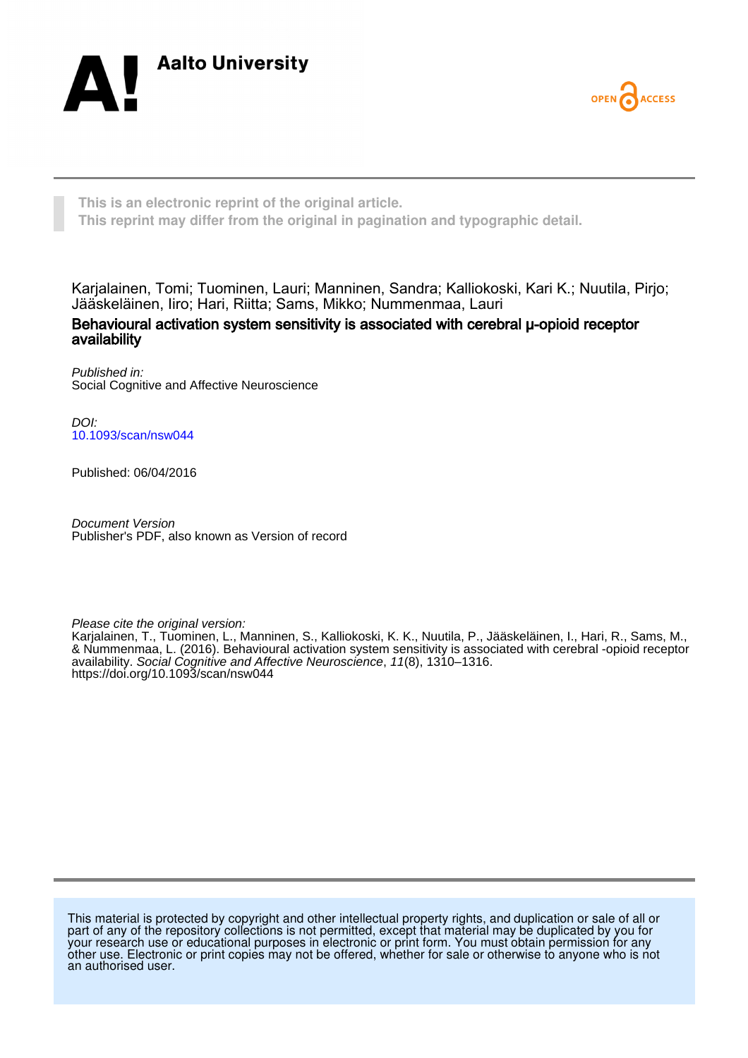



**This is an electronic reprint of the original article. This reprint may differ from the original in pagination and typographic detail.**

Karjalainen, Tomi; Tuominen, Lauri; Manninen, Sandra; Kalliokoski, Kari K.; Nuutila, Pirjo; Jääskeläinen, Iiro; Hari, Riitta; Sams, Mikko; Nummenmaa, Lauri

Behavioural activation system sensitivity is associated with cerebral μ-opioid receptor availability

Published in: Social Cognitive and Affective Neuroscience

DOI: [10.1093/scan/nsw044](https://doi.org/10.1093/scan/nsw044)

Published: 06/04/2016

Document Version Publisher's PDF, also known as Version of record

Please cite the original version:

Karjalainen, T., Tuominen, L., Manninen, S., Kalliokoski, K. K., Nuutila, P., Jääskeläinen, I., Hari, R., Sams, M., & Nummenmaa, L. (2016). Behavioural activation system sensitivity is associated with cerebral -opioid receptor availability. Social Cognitive and Affective Neuroscience, 11(8), 1310–1316. <https://doi.org/10.1093/scan/nsw044>

This material is protected by copyright and other intellectual property rights, and duplication or sale of all or part of any of the repository collections is not permitted, except that material may be duplicated by you for your research use or educational purposes in electronic or print form. You must obtain permission for any other use. Electronic or print copies may not be offered, whether for sale or otherwise to anyone who is not an authorised user.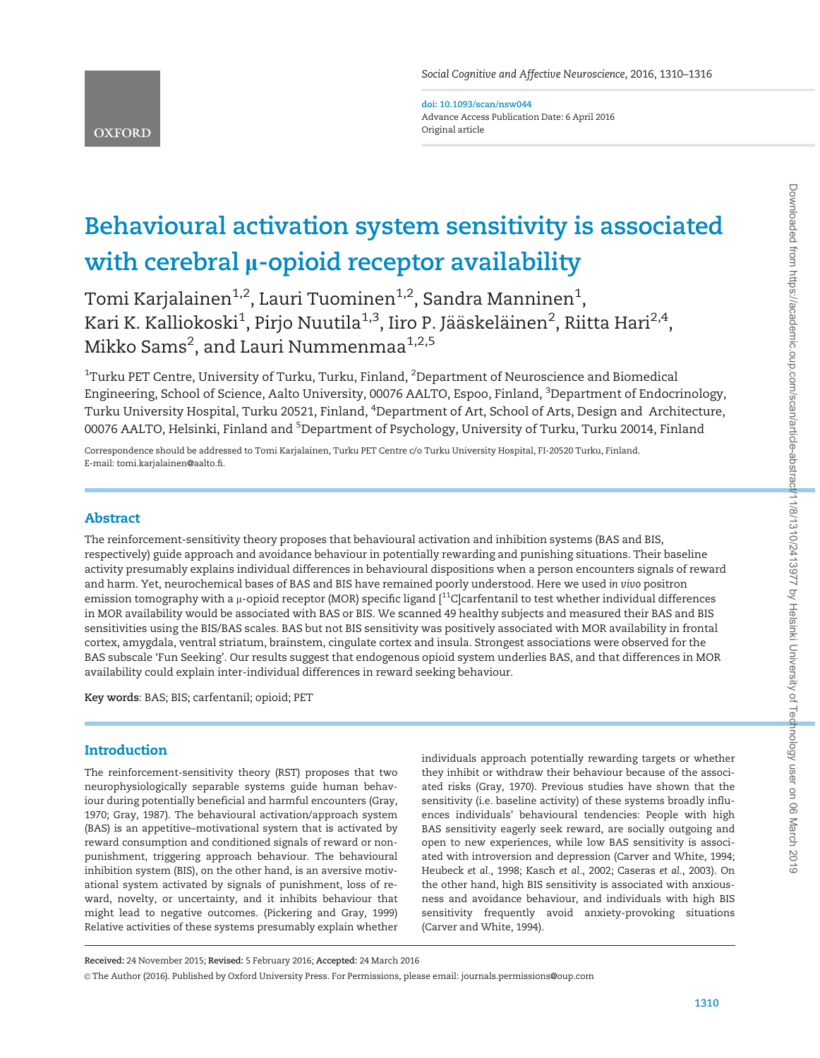doi: 10.1093/scan/nsw044 Advance Access Publication Date: 6 April 2016 Original article

# Behavioural activation system sensitivity is associated with cerebral  $\mu$ -opioid receptor availability

Tomi Karjalainen $^{1,2}$ , Lauri Tuominen $^{1,2}$ , Sandra Manninen $^{1},$ Kari K. Kalliokoski $^1$ , Pirjo Nuutila $^{1,3}$ , Iiro P. Jääskeläinen $^2$ , Riitta Hari $^{2,4}$ , Mikko Sams<sup>2</sup>, and Lauri Nummenmaa<sup>1,2,5</sup>

 $^{\rm 1}$ Turku PET Centre, University of Turku, Turku, Finland,  $^{\rm 2}$ Department of Neuroscience and Biomedical Engineering, School of Science, Aalto University, 00076 AALTO, Espoo, Finland, <sup>3</sup>Department of Endocrinology, Turku University Hospital, Turku 20521, Finland, <sup>4</sup>Department of Art, School of Arts, Design and Architecture, 00076 AALTO, Helsinki, Finland and <sup>5</sup>Department of Psychology, University of Turku, Turku 20014, Finland

Correspondence should be addressed to Tomi Karjalainen, Turku PET Centre c/o Turku University Hospital, FI-20520 Turku, Finland. E-mail: tomi.karjalainen@aalto.fi.

# Abstract

The reinforcement-sensitivity theory proposes that behavioural activation and inhibition systems (BAS and BIS, respectively) guide approach and avoidance behaviour in potentially rewarding and punishing situations. Their baseline activity presumably explains individual differences in behavioural dispositions when a person encounters signals of reward and harm. Yet, neurochemical bases of BAS and BIS have remained poorly understood. Here we used in vivo positron emission tomography with a  $\mu$ -opioid receptor (MOR) specific ligand  $\lceil^{11}C\rceil$ carfentanil to test whether individual differences in MOR availability would be associated with BAS or BIS. We scanned 49 healthy subjects and measured their BAS and BIS sensitivities using the BIS/BAS scales. BAS but not BIS sensitivity was positively associated with MOR availability in frontal cortex, amygdala, ventral striatum, brainstem, cingulate cortex and insula. Strongest associations were observed for the BAS subscale 'Fun Seeking'. Our results suggest that endogenous opioid system underlies BAS, and that differences in MOR availability could explain inter-individual differences in reward seeking behaviour.

Key words: BAS; BIS; carfentanil; opioid; PET

# **Introduction**

The reinforcement-sensitivity theory (RST) proposes that two neurophysiologically separable systems guide human behaviour during potentially beneficial and harmful encounters ([Gray,](#page-6-0) [1970; Gray, 1987](#page-6-0)). The behavioural activation/approach system (BAS) is an appetitive–motivational system that is activated by reward consumption and conditioned signals of reward or nonpunishment, triggering approach behaviour. The behavioural inhibition system (BIS), on the other hand, is an aversive motivational system activated by signals of punishment, loss of reward, novelty, or uncertainty, and it inhibits behaviour that might lead to negative outcomes. [\(Pickering and Gray, 1999\)](#page-7-0) Relative activities of these systems presumably explain whether

individuals approach potentially rewarding targets or whether they inhibit or withdraw their behaviour because of the associated risks ([Gray, 1970\)](#page-6-0). Previous studies have shown that the sensitivity (i.e. baseline activity) of these systems broadly influences individuals' behavioural tendencies: People with high BAS sensitivity eagerly seek reward, are socially outgoing and open to new experiences, while low BAS sensitivity is associated with introversion and depression ([Carver and White, 1994](#page-6-0); [Heubeck](#page-6-0) et al., 1998; [Kasch](#page-7-0) et al., 2002; [Caseras](#page-6-0) et al., 2003). On the other hand, high BIS sensitivity is associated with anxiousness and avoidance behaviour, and individuals with high BIS sensitivity frequently avoid anxiety-provoking situations [\(Carver and White, 1994](#page-6-0)).

Received: 24 November 2015; Revised: 5 February 2016; Accepted: 24 March 2016

V<sup>C</sup> The Author (2016). Published by Oxford University Press. For Permissions, please email: journals.permissions@oup.com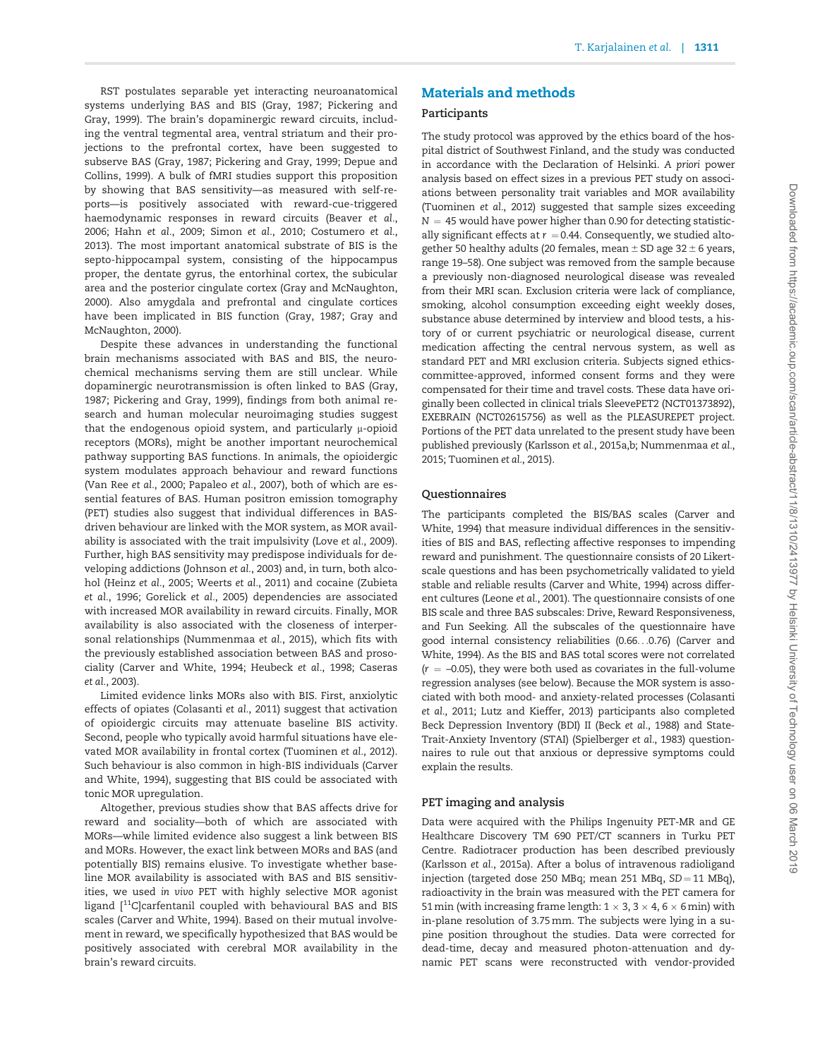RST postulates separable yet interacting neuroanatomical systems underlying BAS and BIS [\(Gray, 1987;](#page-6-0) [Pickering and](#page-7-0) [Gray, 1999](#page-7-0)). The brain's dopaminergic reward circuits, including the ventral tegmental area, ventral striatum and their projections to the prefrontal cortex, have been suggested to subserve BAS ([Gray, 1987](#page-6-0); [Pickering and Gray, 1999](#page-7-0); [Depue and](#page-6-0) [Collins, 1999](#page-6-0)). A bulk of fMRI studies support this proposition by showing that BAS sensitivity—as measured with self-reports—is positively associated with reward-cue-triggered haemodynamic responses in reward circuits ([Beaver](#page-6-0) et al., [2006;](#page-6-0) Hahn et al.[, 2009](#page-6-0); [Simon](#page-7-0) et al., 2010; [Costumero](#page-6-0) et al., [2013\)](#page-6-0). The most important anatomical substrate of BIS is the septo-hippocampal system, consisting of the hippocampus proper, the dentate gyrus, the entorhinal cortex, the subicular are[a](Deleted Text: ,) and the posterior cingulate cortex ([Gray and McNaughton,](#page-6-0) [2000\)](#page-6-0). Also amygdala and prefrontal and cingulate cortices have been implicated in BIS function [\(Gray, 1987; Gray and](#page-6-0) [McNaughton, 2000](#page-6-0)).

Despite these advances in understanding the functional brain mechanisms associated with BAS and BIS, the neurochemical mechanisms serving them are still unclear. While dopaminergic neurotransmission is often linked to BAS ([Gray,](#page-6-0) [1987;](#page-6-0) [Pickering and Gray, 1999](#page-7-0)), findings from both animal research and human molecular neuroimaging studies suggest that the endogenous opioid system, and particularly  $\mu$ -opioid receptors (MORs), might be another important neurochemical pathway supporting BAS functions. In animals, the opioidergic system modulates approach behaviour and reward functions [\(Van Ree](#page-7-0) et al., 2000; [Papaleo](#page-7-0) et al., 2007), both of which are essential features of BAS. Human positron emission tomography (PET) studies also suggest that individual differences in BASdriven behaviour are linked with the MOR system, as MOR availability is associated with the trait impulsivity (Love et al.[, 2009\)](#page-7-0). Further, high BAS sensitivity may predispose individuals for developing addictions [\(Johnson](#page-6-0) et al., 2003) and, in turn, both alcohol [\(Heinz](#page-6-0) et al., 2005; [Weerts](#page-7-0) et al., 2011) and cocaine [\(Zubieta](#page-7-0) et al.[, 1996](#page-7-0); [Gorelick](#page-6-0) et al., 2005) dependencies are associated with increased MOR availability in reward circuits. Finally, MOR availability is also associated with the closeness of interpersonal relationships ([Nummenmaa](#page-7-0) et al., 2015), which fits with the previously established association between BAS and prosociality ([Carver and White, 1994; Heubeck](#page-6-0) et al., 1998; [Caseras](#page-6-0) et al.[, 2003\)](#page-6-0).

Limited evidence links MORs also with BIS. First, anxiolytic effects of opiates ([Colasanti](#page-6-0) et al., 2011) suggest that activation of opioidergic circuits may attenuate baseline BIS activity. Second, people who typically avoid harmful situations have elevated MOR availability in frontal cortex ([Tuominen](#page-7-0) et al., 2012). Such behaviour is also common in high-BIS individuals [\(Carver](#page-6-0) [and White, 1994\)](#page-6-0), suggesting that BIS could be associated with tonic MOR upregulation.

Altogether, previous studies show that BAS affects drive for reward and sociality—both of which are associated with MORs—while limited evidence also suggest a link between BIS and MORs. However, the exact link between MORs and BAS (and potentially BIS) remains elusive. To investigate whether baseline MOR availability is associated with BAS and BIS sensitivities, we used in vivo PET with highly selective MOR agonist ligand [<sup>11</sup>C]carfentanil coupled with behavioural BAS and BIS scales ([Carver and White, 1994\)](#page-6-0). Based on their mutual involvement in reward, we specifically hypothesized that BAS would be positively associated with cerebral MOR availability in the brain's reward circuits.

# Materials and methods

### Participants

The study protocol was approved by the ethics board of the hospital district of Southwest Finland, and the study was conducted in accordance with the Declaration of Helsinki. A priori power analysis based on effect sizes in a previous PET study on associations between personality trait variables and MOR availability [\(Tuominen](#page-7-0) et al., 2012) suggested that sample sizes exceeding  $N = 45$  would have power higher than 0.90 for detecting statistically significant effects at  $r = 0.44$ . Consequently, we studied altogether 50 healthy adults (20 females, mean  $\pm$  SD age 32  $\pm$  6 years, range 19–58). One subject was removed from the sample because a previously non-diagnosed neurological disease was revealed from their MRI scan. Exclusion criteria were lack of compliance, smoking, alcohol consumption exceeding eight weekly doses, substance abuse determined by interview and blood tests, a history of or current psychiatric or neurological disease, current medication affecting the central nervous system, as well as standard PET and MRI exclusion criteria. Subjects signed ethicscommittee-approved, informed consent forms and they were compensated for their time and travel costs. These data have originally been collected in clinical trials SleevePET2 (NCT01373892), EXEBRAIN (NCT02615756) as well as the PLEASUREPET project. Portions of the PET data unrelated to the present study have been published previously (Karlsson et al., [2015a](#page-7-0),b; [Nummenmaa](#page-7-0) et al., [2015](#page-7-0); [Tuominen](#page-7-0) et al., 2015).

## Questionnaires

The participants completed the BIS/BAS scales [\(Carver and](#page-6-0) [White, 1994\)](#page-6-0) that measure individual differences in the sensitivities of BIS and BAS, reflecting affective responses to impending reward and punishment. The questionnaire consists of 20 Likertscale questions and has been psychometrically validated to yield stable and reliable results ([Carver and White, 1994](#page-6-0)) across different cultures [\(Leone](#page-7-0) et al., 2001). The questionnaire consists of one BIS scale and three BAS subscales: Drive, Reward Responsiveness, and Fun Seeking. All the subscales of the questionnaire have good internal consistency reliabilities (0.66...0.76) ([Carver and](#page-6-0) [White, 1994](#page-6-0)). As the BIS and BAS total scores were not correlated  $(r = -0.05)$ , they were both used as covariates in the full-volume regression analyses (see below). Because the MOR system is associated with both mood- and anxiety-related processes [\(Colasanti](#page-6-0) et al.[, 2011;](#page-6-0) [Lutz and Kieffer, 2013](#page-7-0)) participants also completed Beck Depression Inventory (BDI) II (Beck et al.[, 1988](#page-6-0)) and State-Trait-Anxiety Inventory (STAI) [\(Spielberger](#page-7-0) et al., 1983) questionnaires to rule out that anxious or depressive symptoms could explain the results.

#### PET imaging and analysis

Data were acquired with the Philips Ingenuity PET-MR and GE Healthcare Discovery TM 690 PET/CT scanners in Turku PET Centre. Radiotracer production has been described previously [\(Karlsson](#page-7-0) et al., 2015a). After a bolus of intravenous radioligand injection (targeted dose 250 MBq; mean 251 MBq,  $SD = 11$  MBq), radioactivity in the brain was measured with the PET camera for 51 mi[n](Deleted Text: utes) (with increasing frame length: 1  $\times$  3, 3  $\times$  4, 6  $\times$  6 min) with in-plane resolution of 3.75mm. The subjects were lying in a supine position throughout the studies. Data were corrected for dead-time, decay and measured photon-attenuation and dynamic PET scans were reconstructed with vendor-provided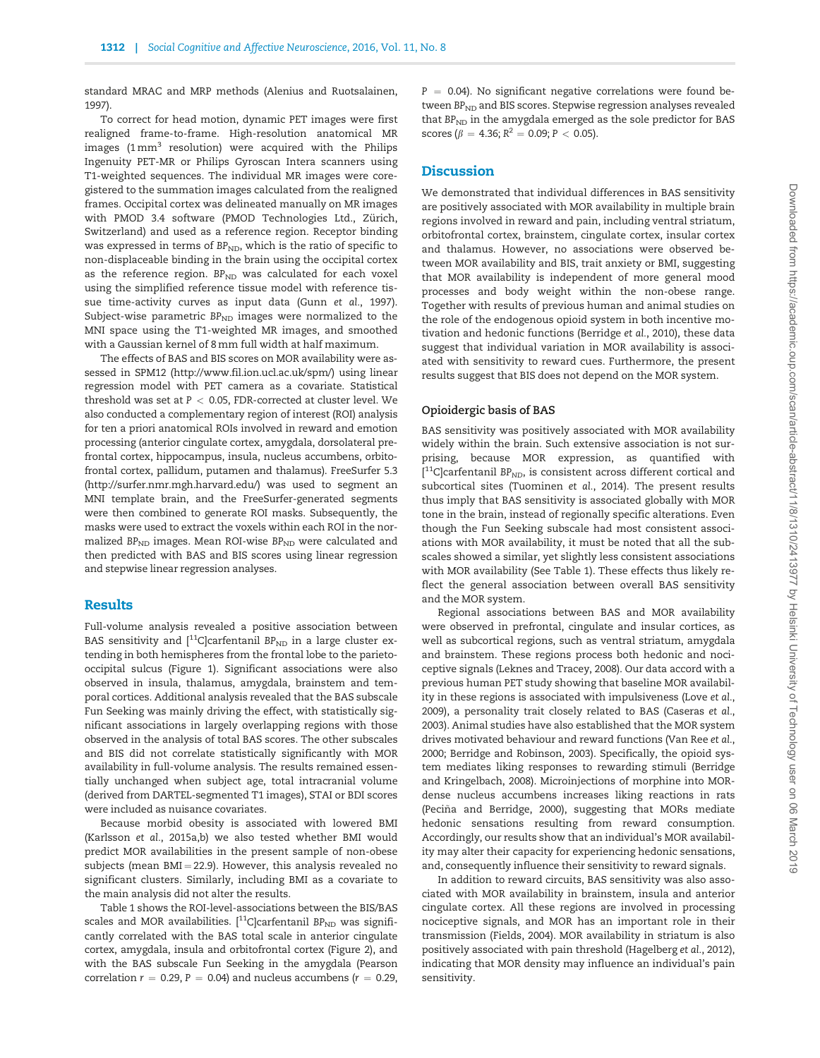standard MRAC and MRP methods [\(Alenius and Ruotsalainen,](#page-6-0) [1997](#page-6-0)).

To correct for head motion, dynamic PET images were first realigned frame-to-frame. High-resolution anatomical MR images  $(1 \text{ mm}^3)$  resolution) were acquired with the Philips Ingenuity PET-MR or Philips Gyroscan Intera scanners using T1-weighted sequences. The individual MR images were coregistered to the summation images calculated from the realigned frames. Occipital cortex was delineated manually on MR images with PMOD 3.4 software (PMOD Technologies Ltd., Zürich, Switzerland) and used as a reference region. Receptor binding was expressed in terms of  $BP_{ND}$ , which is the ratio of specific to non-displaceable binding in the brain using the occipital cortex as the reference region.  $BP_{ND}$  was calculated for each voxel using the simplified reference tissue model with reference tissue time-activity curves as input data (Gunn et al.[, 1997\)](#page-6-0). Subject-wise parametric  $BP<sub>ND</sub>$  images were normalized to the MNI space using the T1-weighted MR images, and smoothed with a Gaussian kernel of 8mm full width at half maximum.

The effects of BAS and BIS scores on MOR availability were assessed in SPM12 ([http://www.fil.ion.ucl.ac.uk/spm/\)](http://www.fil.ion.ucl.ac.uk/spm/) using linear regression model with PET camera as a covariate. Statistical threshold was set at  $P < 0.05$ , FDR-corrected at cluster level. We also conducted a complementary region of interest (ROI) analysis for ten a priori anatomical ROIs involved in reward and emotion processing (anterior cingulate cortex, amygdala, dorsolateral prefrontal cortex, hippocampus, insula, nucleus accumbens, orbitofrontal cortex, pallidum, putamen and thalamu[s\)](Deleted Text: .). FreeSurfer 5.3 [\(http://surfer.nmr.mgh.harvard.edu/](http://surfer.nmr.mgh.harvard.edu/)) was used to segment an MNI template brain, and the FreeSurfer-generated segments were then combined to generate ROI masks. Subsequently, the masks were used to extract the voxels within each ROI in the normalized  $BP<sub>ND</sub>$  images. Mean ROI-wise  $BP<sub>ND</sub>$  were calculated and then predicted with BAS and BIS scores using linear regression and stepwise linear regression analyses.

## Results

Full-volume analysis revealed a positive association between BAS sensitivity and  $[{}^{11}C]$ carfentanil BP<sub>ND</sub> in a large cluster extending in both hemispheres from the frontal lobe to the parietooccipital sulcus [\(Figure 1](#page-4-0)). Significant associations were also observed in insula, thalamus, amygdala, brainstem and temporal cortices. Additional analysis revealed that the BAS subscale Fun Seeking was mainly driving the effect, with statistically significant associations in largely overlapping regions with those observed in the analysis of total BAS scores. The other subscales and BIS did not correlate statistically significantly with MOR availability in full-volume analysis. The results remained essentially unchanged when subject age, total intracranial volume (derived from DARTEL-segmented T1 images), STAI or BDI scores were included as nuisance covariates.

Because morbid obesity is associated with lowered BMI (Karlsson et al., [2015a](#page-7-0),b) we also tested whether BMI would predict MOR availabilities in the present sample of non-obese subjects (mean  $BMI = 22.9$ ). However, this analysis revealed no significant clusters. Similarly, including BMI as a covariate to the main analysis did not alter the results.

[Table 1](#page-5-0) shows the ROI-level-associations between the BIS/BAS scales and MOR availabilities.  $[{}^{11}C]$ carfentanil BP<sub>ND</sub> was significantly correlated with the BAS total scale in anterior cingulate cortex, amygdala, insula and orbitofrontal cortex [\(Figure 2](#page-4-0)), and with the BAS subscale Fun Seeking in the amygdala (Pearson correlation  $r = 0.29$ ,  $P = 0.04$ ) and nucleus accumbens ( $r = 0.29$ ,  $P = 0.04$ ). No significant negative correlations were found between  $BP_{ND}$  and BIS scores. Stepwise regression analyses revealed that  $BP<sub>ND</sub>$  in the amygdala emerged as the sole predictor for BAS scores ( $\beta = 4.36$ ;  $R^2 = 0.09$ ;  $P < 0.05$ ).

# **Discussion**

We demonstrated that individual differences in BAS sensitivity are positively associated with MOR availability in multiple brain regions involved in reward and pain, including ventral striatum, orbitofrontal cortex, brainstem, cingulate cortex, insular cortex and thalamus. However, no associations were observed between MOR availability and BIS, trait anxiety or BMI, suggesting that MOR availability is independent of more general mood processes and body weight within the non-obese range. Together with results of previous human and animal studies on the role of the endogenous opioid system in both incentive motivation and hedonic functions ([Berridge](#page-6-0) et al., 2010), these data suggest that individual variation in MOR availability is associated with sensitivity to reward cues. Furthermore, the present results suggest that BIS does not depend on the MOR system.

### Opioidergic basis of BAS

BAS sensitivity was positively associated with MOR availability widely within the brain. Such extensive association is not surprising, because MOR expression, as quantified with  $[$ <sup>11</sup>C]carfentanil BP<sub>ND</sub>, is consistent across different cortical and subcortical sites ([Tuominen](#page-7-0) et al., 2014). The present results thus imply that BAS sensitivity is associated globally with MOR tone in the brain, instead of regionally specific alterations. Even though the Fun Seeking subscale had most consistent associations with MOR availability, it must be noted that all the subscales showed a similar, yet slightly less consistent associations with MOR availability (See [Table 1](#page-5-0)). These effects thus likely reflect the general association between overall BAS sensitivity and the MOR system.

Regional associations between BAS and MOR availability were observed in prefrontal, cingulate and insular cortices, as well as subcortical regions, such as ventral striatum, amygdala and brainstem. These regions process both hedonic and nociceptive signals ([Leknes and Tracey, 2008\)](#page-7-0). Our data accord with a previous human PET study showing that baseline MOR availability in these regions is associated with impulsiveness ([Love](#page-7-0) et al., [2009\)](#page-7-0), a personality trait closely related to BAS [\(Caseras](#page-6-0) et al., [2003\)](#page-6-0). Animal studies have also established that the MOR system drives motivated behaviour and reward functions [\(Van Ree](#page-7-0) et al., [2000;](#page-7-0) [Berridge and Robinson, 2003](#page-6-0)[\)](Deleted Text: ; Van Ree, <italic>et<?A3B2 show $146#?>al.</italic>, 2000). Specifically, the opioid system mediates liking responses to rewarding stimuli [\(Berridge](#page-6-0) [and Kringelbach, 2008\)](#page-6-0). Microinjections of morphine into MORdense nucleus accumbens increases liking reactions in rats (Peciña and Berridge, 2000), suggesting that MORs mediate hedonic sensations resulting from reward consumption. Accordingly, our results show that an individual's MOR availability may alter their capacity for experiencing hedonic sensations, and, consequently influence their sensitivity to reward signals.

In addition to reward circuits, BAS sensitivity was also associated with MOR availability in brainstem, insula and anterior cingulate cortex. All these regions are involved in processing nociceptive signals, and MOR has an important role in their transmission [\(Fields, 2004](#page-6-0)). MOR availability in striatum is also positively associated with pain threshold ([Hagelberg](#page-6-0) et al., 2012), indicating that MOR density may influence an individual's pain sensitivity.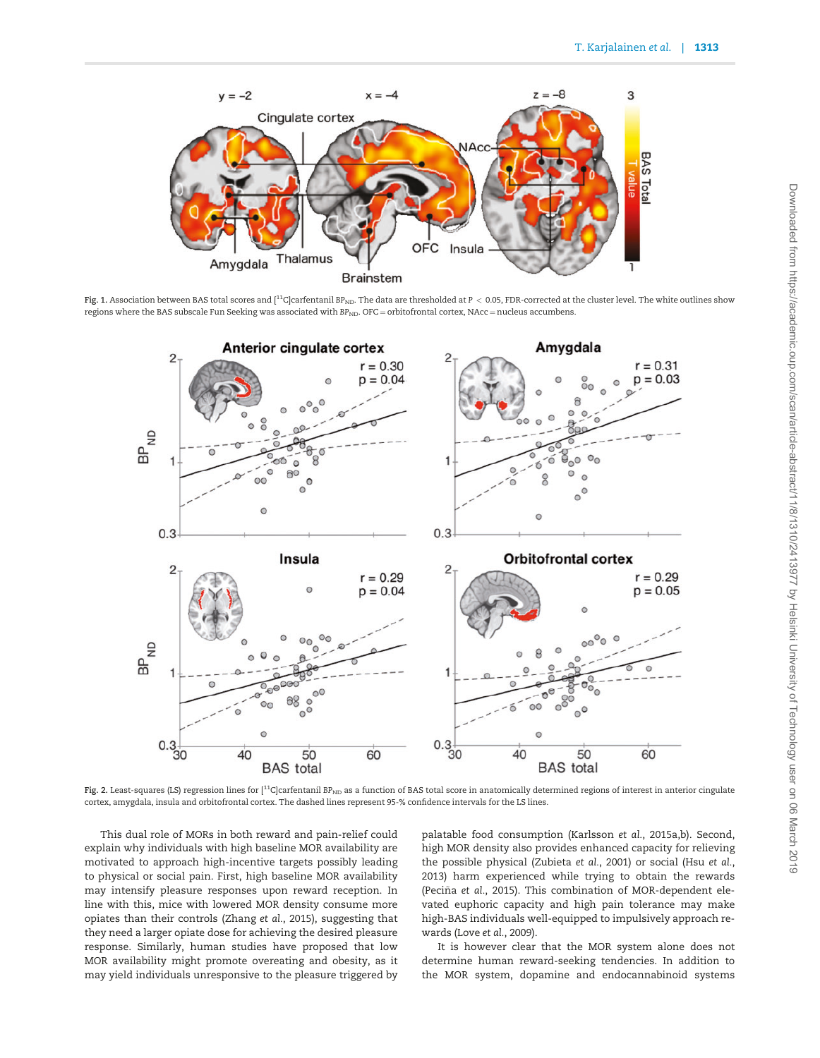<span id="page-4-0"></span>

Fig. 1. Association between BAS total scores and  $\binom{11}{1}$ C carfentanil BP<sub>ND</sub>. The data are thresholded at P < 0.05, FDR-corrected at the cluster level. The white outlines show regions where the BAS subscale Fun Seeking was associated with  $BP<sub>ND</sub>$ . OFC = orbitofrontal cortex, NAcc = nucleus accumbens.



Fig. 2. Least-squares (LS) regression lines for  $[11C]$ carfentanil BP<sub>ND</sub> as a function of BAS total score in anatomically determined regions of interest in anterior cingulate cortex, amygdala, insula and orbitofrontal cortex. The dashed lines represent 95-% confidence intervals for the LS lines.

This dual role of MORs in both reward and pain-relief could explain why individuals with high baseline MOR availability are motivated to approach high-incentive targets possibly leading to physical or social pain. First, high baseline MOR availability may intensify pleasure responses upon reward reception. In line with this, mice with lowered MOR density consume more opiates than their controls [\(Zhang](#page-7-0) et al., 2015), suggesting that they need a larger opiate dose for achieving the desired pleasure response. Similarly, human studies have proposed that low MOR availability might promote overeating and obesity, as it may yield individuals unresponsive to the pleasure triggered by

palatable food consumption ([Karlsson](#page-7-0) et al., 2015a[,b\)](#page-7-0). Second, high MOR density also provides enhanced capacity for relieving the possible physical [\(Zubieta](#page-7-0) et al., 2001) or social (Hsu [et al.](#page-6-0), [2013\)](#page-6-0) harm experienced while trying to obtain the rewards [\(Peci](#page-7-0)ña et al.[, 2015](#page-7-0)). This combination of MOR-dependent elevated euphoric capacity and high pain tolerance may make high-BAS individuals well-equipped to impulsively approach rewards (Love et al.[, 2009](#page-7-0)).

It is however clear that the MOR system alone does not determine human reward-seeking tendencies. In addition to the MOR system, dopamine and endocannabinoid systems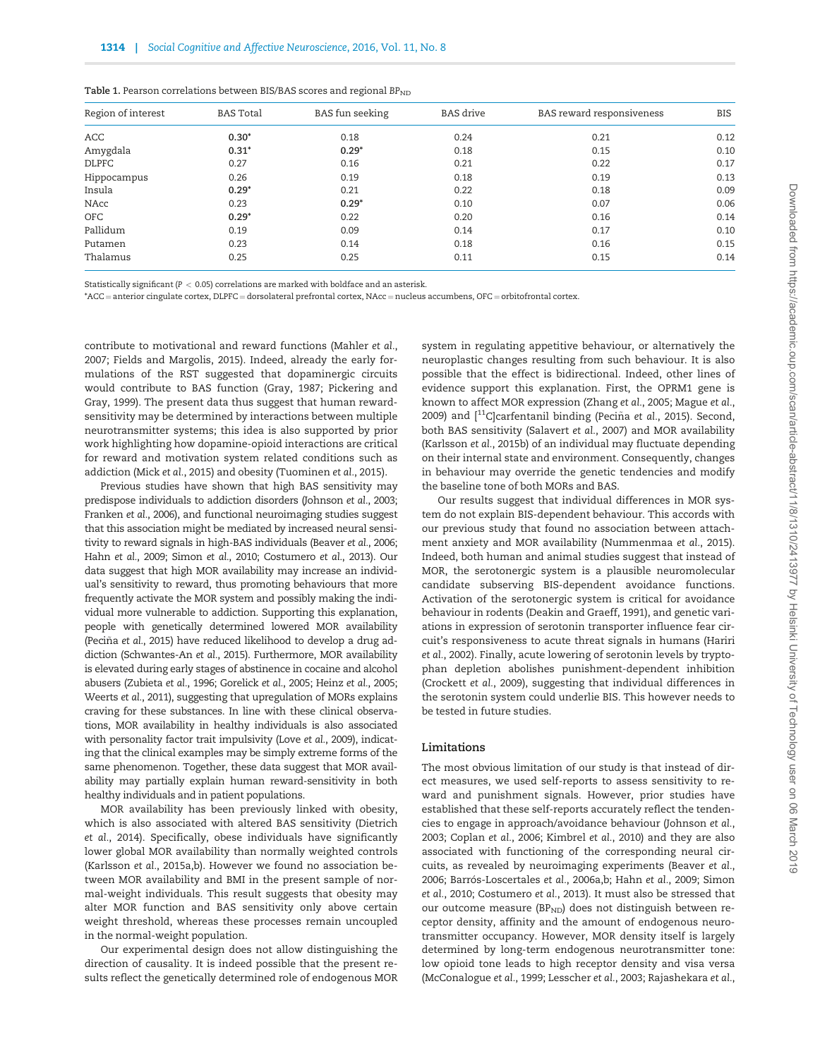| Region of interest | <b>BAS</b> Total | <b>BAS</b> fun seeking | <b>BAS</b> drive | BAS reward responsiveness | BIS<br>0.12 |  |
|--------------------|------------------|------------------------|------------------|---------------------------|-------------|--|
| ACC                | $0.30*$          | 0.18                   | 0.24             | 0.21                      |             |  |
| Amygdala           | $0.31*$          | $0.29*$                | 0.18             | 0.15                      | 0.10        |  |
| <b>DLPFC</b>       | 0.27             | 0.16                   | 0.21             | 0.22                      | 0.17        |  |
| Hippocampus        | 0.26             | 0.19                   | 0.18             | 0.19                      | 0.13        |  |
| Insula             | $0.29*$          | 0.21                   | 0.22             | 0.18                      | 0.09        |  |
| NAcc               | 0.23             | $0.29*$                | 0.10             | 0.07                      | 0.06        |  |
| <b>OFC</b>         | $0.29*$          | 0.22                   | 0.20             | 0.16                      | 0.14        |  |
| Pallidum           | 0.19             | 0.09                   | 0.14             | 0.17                      | 0.10        |  |
| Putamen            | 0.23             | 0.14                   | 0.18             | 0.16                      | 0.15        |  |
| Thalamus           | 0.25             | 0.25                   | 0.11             | 0.15                      | 0.14        |  |

<span id="page-5-0"></span>

| <b>Table 1.</b> Pearson correlations between BIS/BAS scores and regional BP $_{\rm ND}$ |  |  |  |  |  |  |  |
|-----------------------------------------------------------------------------------------|--|--|--|--|--|--|--|
|-----------------------------------------------------------------------------------------|--|--|--|--|--|--|--|

Statistically significant ( $P < 0.05$ ) correlations are marked with boldface and an asterisk.

\*ACC = anterior cingulate cortex, DLPFC = dorsolateral prefrontal cortex, NAcc = nucleus accumbens, OFC = orbitofrontal cortex.

contribute to motivational and reward functions [\(Mahler](#page-7-0) et al., [2007;](#page-7-0) [Fields and Margolis, 2015](#page-6-0)). Indeed, already the early formulations of the RST suggested that dopaminergic circuits would contribute to BAS function ([Gray, 1987](#page-6-0); [Pickering and](#page-7-0) [Gray, 1999](#page-7-0)). The present data thus suggest that human rewardsensitivity may be determined by interactions between multiple neurotransmitter systems; this idea is also supported by prior work highlighting how dopamine-opioid interactions are critical for reward and motivation system related conditions such as addiction (Mick et al.[, 2015\)](#page-7-0) and obesity [\(Tuominen](#page-7-0) et al., 2015).

Previous studies have shown that high BAS sensitivity may predispose individuals to addiction disorders ([Johnson](#page-6-0) et al., 2003; [Franken](#page-6-0) et al., 2006), and functional neuroimaging studies suggest that this association might be mediated by increased neural sensitivity to reward signals in high-BAS individuals ([Beaver](#page-6-0) et al., 2006; Hahn et al.[, 2009](#page-6-0); [Simon](#page-7-0) et al., 2010; [Costumero](#page-6-0) et al., 2013). Our data suggest that high MOR availability may increase an individual's sensitivity to reward, thus promoting behaviours that more frequently activate the MOR system and possibly making the individual more vulnerable to addiction. Supporting this explanation, people with genetically determined lowered MOR availability [\(Peci](#page-7-0)ña et al.[, 2015](#page-7-0)) have reduced likelihood to develop a drug addiction [\(Schwantes-An](#page-7-0) et al., 2015). Furthermore, MOR availability is elevated during early stages of abstinence in cocaine and alcohol abusers [\(Zubieta](#page-7-0) et al., 1996; [Gorelick](#page-6-0) et al., 2005; [Heinz](#page-6-0) et al., 2005; [Weerts](#page-7-0) et al., 2011), suggesting that upregulation of MORs explains craving for these substances. In line with these clinical observations, MOR availability in healthy individuals is also associated with personality factor trait impulsivity (Love et al.[, 2009](#page-7-0)), indicating that the clinical examples may be simply extreme forms of the same phenomenon. Together, these data suggest that MOR availability may partially explain human reward-sensitivity in both healthy individuals and in patient populations.

MOR availability has been previously linked with obesity, which is also associated with altered BAS sensitivity ([Dietrich](#page-6-0) et al.[, 2014](#page-6-0)). Specifically, obese individuals have significantly lower global MOR availability than normally weighted controls [\(Karlsson](#page-7-0) et al., 2015a,[b](#page-7-0)). However we found no association between MOR availability and BMI in the present sample of normal-weight individuals. This result suggests that obesity may alter MOR function and BAS sensitivity only above certain weight threshold, whereas these processes remain uncoupled in the normal-weight population.

Our experimental design does not allow distinguishing the direction of causality. It is indeed possible that the present results reflect the genetically determined role of endogenous MOR system in regulating appetitive behaviour, or alternatively the neuroplastic changes resulting from such behaviour. It is also possible that the effect is bidirectional. Indeed, other lines of evidence support this explanation. First, the OPRM1 gene is known to affect MOR expression [\(Zhang](#page-7-0) et al., 2005; Mague et al., 2009) and  $[$ <sup>11</sup>C]carfentanil binding ([Peci](#page-7-0)ña et al.[, 2015](#page-7-0)). Second, both BAS sensitivity [\(Salavert](#page-7-0) et al., 2007) and MOR availability [\(Karlsson](#page-7-0) et al., 2015b) of an individual may fluctuate depending on their internal state and environment. Consequently, changes in behaviour may override the genetic tendencies and modify the baseline tone of both MORs and BAS.

Our results suggest that individual differences in MOR system do not explain BIS-dependent behaviour. This accords with our previous study that found no association between attachment anxiety and MOR availability ([Nummenmaa](#page-7-0) et al., 2015). Indeed, both human and animal studies suggest that instead of MOR, the serotonergic system is a plausible neuromolecular candidate subserving BIS-dependent avoidance functions. Activation of the serotonergic system is critical for avoidance behaviour in rodents [\(Deakin and Graeff, 1991\)](#page-6-0), and genetic variations in expression of serotonin transporter influence fear circuit's responsiveness to acute threat signals in humans [\(Hariri](#page-6-0) et al.[, 2002](#page-6-0)). Finally, acute lowering of serotonin levels by tryptophan depletion abolishes punishment-dependent inhibition [\(Crockett](#page-6-0) et al., 2009), suggesting that individual differences in the serotonin system could underlie BIS. This however needs to be tested in future studies.

#### Limitations

The most obvious limitation of our study is that instead of direct measures, we used self-reports to assess sensitivity to reward and punishment signals. However, prior studies have established that these self-reports accurately reflect the tendencies to engage in approach/avoidance behaviour [\(Johnson](#page-6-0) et al., [2003; Coplan](#page-6-0) et al., 2006; [Kimbrel](#page-7-0) et al., 2010) and they are also associated with functioning of the corresponding neural circuits, as revealed by neuroimaging experiments ([Beaver](#page-6-0) et al., 2006; Barrós-Loscertales et al., 2006a,[b](#page-6-0); Hahn et al.[, 2009;](#page-6-0) [Simon](#page-7-0) et al.[, 2010;](#page-7-0) [Costumero](#page-6-0) et al., 2013). It must also be stressed that our outcome measure (BP<sub>ND</sub>) does not distinguish between receptor density, affinity and the amount of endogenous neurotransmitter occupancy. However, MOR density itself is largely determined by long-term endogenous neurotransmitter tone: low opioid tone leads to high receptor density and visa versa [\(McConalogue](#page-7-0) et al., 1999; [Lesscher](#page-7-0) et al., 2003; [Rajashekara](#page-7-0) et al.,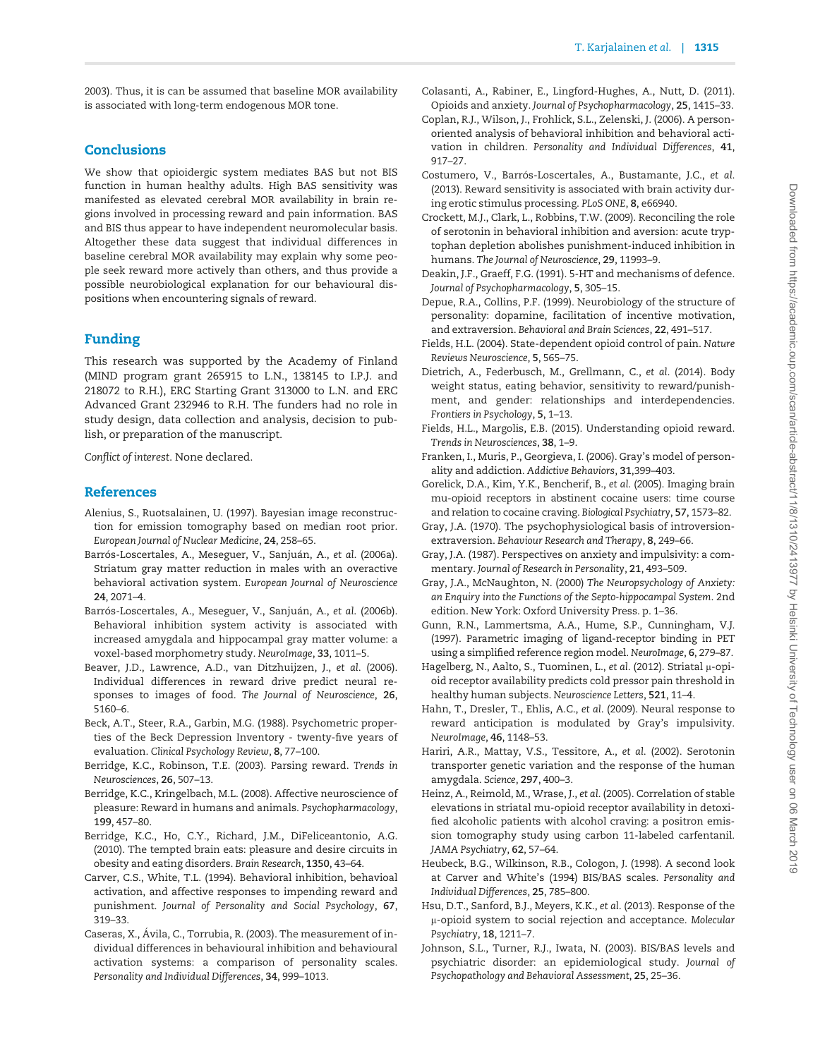<span id="page-6-0"></span>[2003\)](#page-7-0). Thus, it is can be assumed that baseline MOR availability is associated with long-term endogenous MOR tone.

## Conclusions

We show that opioidergic system mediates BAS but not BIS function in human healthy adults. High BAS sensitivity was manifested as elevated cerebral MOR availability in brain regions involved in processing reward and pain information. BAS and BIS thus appear to have independent neuromolecular basis. Altogether these data suggest that individual differences in baseline cerebral MOR availability may explain why some people seek reward more actively than others, and thus provide a possible neurobiological explanation for our behavioural dispositions when encountering signals of reward.

# Funding

This research was supported by the Academy of Finland (MIND program grant 265915 to L.N., 138145 to I.P.J. and 218072 to R.H.), ERC Starting Grant 313000 to L.N. and ERC Advanced Grant 232946 to R.H. The funders had no role in study design, data collection and analysis, decision to publish, or preparation of the manuscript.

Conflict of interest. None declared.

## References

- Alenius, S., Ruotsalainen, U. (1997). Bayesian image reconstruction for emission tomography based on median root prior. European Journal of Nuclear Medicine, 24, 258–65.
- Barrós-Loscertales, A., Meseguer, V., Sanjuán, A., *e*t *a*l. (2006a). Striatum gray matter reduction in males with an overactive behavioral activation system. European Journal of Neuroscience 24, 2071–4.
- Barrós-Loscertales, A., Meseguer, V., Sanjuán, A., *e*t *a*l. (2006b). Behavioral inhibition system activity is associated with increased amygdala and hippocampal gray matter volume: a voxel-based morphometry study. NeuroImage, 33, 1011–5.
- Beaver, J.D., Lawrence, A.D., van Ditzhuijzen, J., et al. (2006). Individual differences in reward drive predict neural responses to images of food. The Journal of Neuroscience, 26, 5160–6.
- Beck, A.T., Steer, R.A., Garbin, M.G. (1988). Psychometric properties of the Beck Depression Inventory - twenty-five years of evaluation. Clinical Psychology Review, 8, 77–100.
- Berridge, K.C., Robinson, T.E. (2003). Parsing reward. Trends in Neurosciences, 26, 507–13.
- Berridge, K.C., Kringelbach, M.L. (2008). Affective neuroscience of pleasure: Reward in humans and animals. Psychopharmacology, 199, 457–80.
- Berridge, K.C., Ho, C.Y., Richard, J.M., DiFeliceantonio, A.G. (2010). The tempted brain eats: pleasure and desire circuits in obesity and eating disorders. Brain Research, 1350, 43–64.
- Carver, C.S., White, T.L. (1994). Behavioral inhibition, behavioal activation, and affective responses to impending reward and punishment. Journal of Personality and Social Psychology, 67, 319–33.
- Caseras, X., Avila, C., Torrubia, R. (2003). The measurement of in- dividual differences in behavioural inhibition and behavioural activation systems: a comparison of personality scales. Personality and Individual Differences, 34, 999–1013.
- Colasanti, A., Rabiner, E., Lingford-Hughes, A., Nutt, D. (2011). Opioids and anxiety. Journal of Psychopharmacology, 25, 1415–33.
- Coplan, R.J., Wilson, J., Frohlick, S.L., Zelenski, J. (2006). A personoriented analysis of behavioral inhibition and behavioral activation in children. Personality and Individual Differences, 41, 917–27.
- Costumero, V., Barrós-Loscertales, A., Bustamante, J.C., et al. (2013). Reward sensitivity is associated with brain activity during erotic stimulus processing. PLoS ONE, 8, e66940.
- Crockett, M.J., Clark, L., Robbins, T.W. (2009). Reconciling the role of serotonin in behavioral inhibition and aversion: acute tryptophan depletion abolishes punishment-induced inhibition in humans. The Journal of Neuroscience, 29, 11993–9.
- Deakin, J.F., Graeff, F.G. (1991). 5-HT and mechanisms of defence. Journal of Psychopharmacology, 5, 305–15.
- Depue, R.A., Collins, P.F. (1999). Neurobiology of the structure of personality: dopamine, facilitation of incentive motivation, and extraversion. Behavioral and Brain Sciences, 22, 491–517.
- Fields, H.L. (2004). State-dependent opioid control of pain. Nature Reviews Neuroscience, 5, 565–75.
- Dietrich, A., Federbusch, M., Grellmann, C., et al. (2014). Body weight status, eating behavior, sensitivity to reward/punishment, and gender: relationships and interdependencies. Frontiers in Psychology, 5, 1–13.
- Fields, H.L., Margolis, E.B. (2015). Understanding opioid reward. Trends in Neurosciences, 38, 1–9.
- Franken, I., Muris, P., Georgieva, I. (2006). Gray's model of personality and addiction. Addictive Behaviors, 31,399–403.
- Gorelick, D.A., Kim, Y.K., Bencherif, B., et al. (2005). Imaging brain mu-opioid receptors in abstinent cocaine users: time course and relation to cocaine craving. Biological Psychiatry, 57, 1573–82.
- Gray, J.A. (1970). The psychophysiological basis of introversionextraversion. Behaviour Research and Therapy, 8, 249–66.
- Gray, J.A. (1987). Perspectives on anxiety and impulsivity: a commentary. Journal of Research in Personality, 21, 493–509.
- Gray, J.A., McNaughton, N. (2000) The Neuropsychology of Anxiety: an Enquiry into the Functions of the Septo-hippocampal System. 2nd edition. New York: Oxford University Press. p. 1–36.
- Gunn, R.N., Lammertsma, A.A., Hume, S.P., Cunningham, V.J. (1997). Parametric imaging of ligand-receptor binding in PET using a simplified reference region model. NeuroImage, 6, 279–87.
- Hagelberg, N., Aalto, S., Tuominen, L., et al. (2012). Striatal µ-opioid receptor availability predicts cold pressor pain threshold in healthy human subjects. Neuroscience Letters, 521, 11–4.
- Hahn, T., Dresler, T., Ehlis, A.C., et al. (2009). Neural response to reward anticipation is modulated by Gray's impulsivity. NeuroImage, 46, 1148–53.
- Hariri, A.R., Mattay, V.S., Tessitore, A., et al. (2002). Serotonin transporter genetic variation and the response of the human amygdala. Science, 297, 400–3.
- Heinz, A., Reimold, M., Wrase, J., et al. (2005). Correlation of stable elevations in striatal mu-opioid receptor availability in detoxified alcoholic patients with alcohol craving: a positron emission tomography study using carbon 11-labeled carfentanil. JAMA Psychiatry, 62, 57–64.
- Heubeck, B.G., Wilkinson, R.B., Cologon, J. (1998). A second look at Carver and White's (1994) BIS/BAS scales. Personality and Individual Differences, 25, 785–800.
- Hsu, D.T., Sanford, B.J., Meyers, K.K., et al. (2013). Response of the µ-opioid system to social rejection and acceptance. Molecular Psychiatry, 18, 1211–7.
- Johnson, S.L., Turner, R.J., Iwata, N. (2003). BIS/BAS levels and psychiatric disorder: an epidemiological study. Journal of Psychopathology and Behavioral Assessment, 25, 25–36.